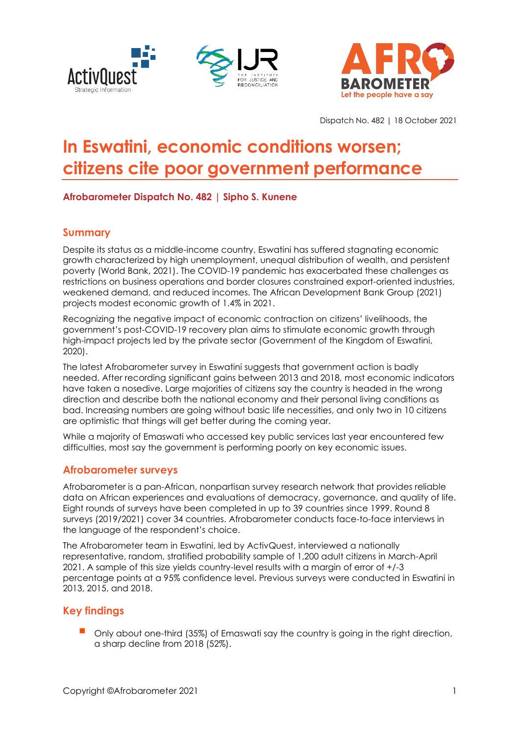





Dispatch No. 482 | 18 October 2021

# **In Eswatini, economic conditions worsen; citizens cite poor government performance**

## **Afrobarometer Dispatch No. 482 | Sipho S. Kunene**

## **Summary**

Despite its status as a middle-income country, Eswatini has suffered stagnating economic growth characterized by high unemployment, unequal distribution of wealth, and persistent poverty (World Bank, 2021). The COVID-19 pandemic has exacerbated these challenges as restrictions on business operations and border closures constrained export-oriented industries, weakened demand, and reduced incomes. The African Development Bank Group (2021) projects modest economic growth of 1.4% in 2021.

Recognizing the negative impact of economic contraction on citizens' livelihoods, the government's post-COVID-19 recovery plan aims to stimulate economic growth through high-impact projects led by the private sector (Government of the Kingdom of Eswatini, 2020).

The latest Afrobarometer survey in Eswatini suggests that government action is badly needed. After recording significant gains between 2013 and 2018, most economic indicators have taken a nosedive. Large majorities of citizens say the country is headed in the wrong direction and describe both the national economy and their personal living conditions as bad. Increasing numbers are going without basic life necessities, and only two in 10 citizens are optimistic that things will get better during the coming year.

While a majority of Emaswati who accessed key public services last year encountered few difficulties, most say the government is performing poorly on key economic issues.

## **Afrobarometer surveys**

Afrobarometer is a pan-African, nonpartisan survey research network that provides reliable data on African experiences and evaluations of democracy, governance, and quality of life. Eight rounds of surveys have been completed in up to 39 countries since 1999. Round 8 surveys (2019/2021) cover 34 countries. Afrobarometer conducts face-to-face interviews in the language of the respondent's choice.

The Afrobarometer team in Eswatini, led by ActivQuest, interviewed a nationally representative, random, stratified probability sample of 1,200 adult citizens in March-April 2021. A sample of this size yields country-level results with a margin of error of +/-3 percentage points at a 95% confidence level. Previous surveys were conducted in Eswatini in 2013, 2015, and 2018.

## **Key findings**

Only about one-third (35%) of Emaswati say the country is going in the right direction, a sharp decline from 2018 (52%).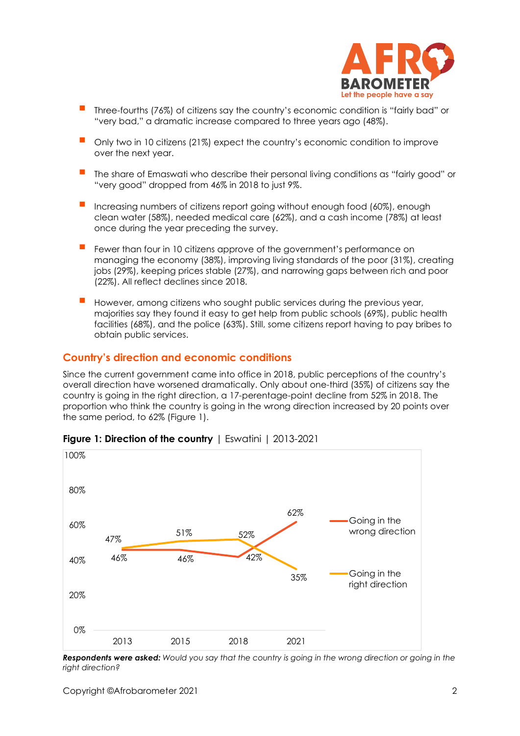

- Three-fourths (76%) of citizens say the country's economic condition is "fairly bad" or "very bad," a dramatic increase compared to three years ago (48%).
- Only two in 10 citizens (21%) expect the country's economic condition to improve over the next year.
- The share of Emaswati who describe their personal living conditions as "fairly good" or "very good" dropped from 46% in 2018 to just 9%.
- Increasing numbers of citizens report going without enough food (60%), enough clean water (58%), needed medical care (62%), and a cash income (78%) at least once during the year preceding the survey.
- Fewer than four in 10 citizens approve of the government's performance on managing the economy (38%), improving living standards of the poor (31%), creating jobs (29%), keeping prices stable (27%), and narrowing gaps between rich and poor (22%). All reflect declines since 2018.
- However, among citizens who sought public services during the previous year, majorities say they found it easy to get help from public schools (69%), public health facilities (68%), and the police (63%). Still, some citizens report having to pay bribes to obtain public services.

## **Country's direction and economic conditions**

Since the current government came into office in 2018, public perceptions of the country's overall direction have worsened dramatically. Only about one-third (35%) of citizens say the country is going in the right direction, a 17-perentage-point decline from 52% in 2018. The proportion who think the country is going in the wrong direction increased by 20 points over the same period, to 62% (Figure 1).



## **Figure 1: Direction of the country** | Eswatini | 2013-2021

*Respondents were asked: Would you say that the country is going in the wrong direction or going in the right direction?*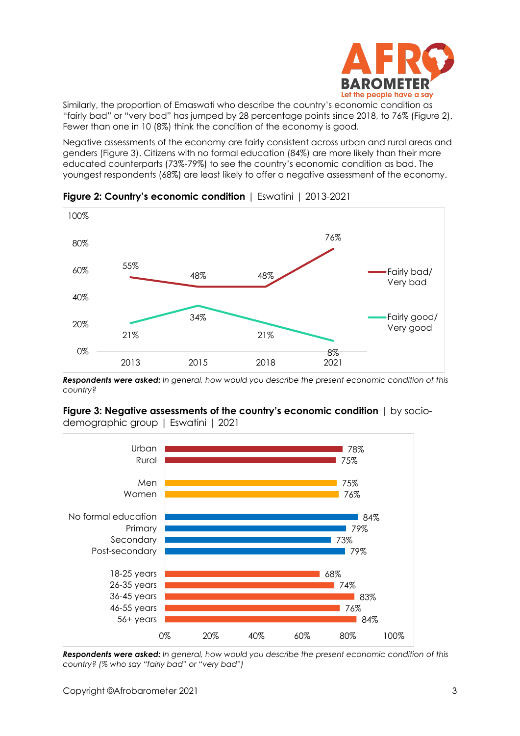

Similarly, the proportion of Emaswati who describe the country's economic condition as "fairly bad" or "very bad" has jumped by 28 percentage points since 2018, to 76% (Figure 2). Fewer than one in 10 (8%) think the condition of the economy is good.

Negative assessments of the economy are fairly consistent across urban and rural areas and genders (Figure 3). Citizens with no formal education (84%) are more likely than their more educated counterparts (73%-79%) to see the country's economic condition as bad. The youngest respondents (68%) are least likely to offer a negative assessment of the economy.



**Figure 2: Country's economic condition** | Eswatini | 2013-2021

*Respondents were asked: In general, how would you describe the present economic condition of this country?*



**Figure 3: Negative assessments of the country's economic condition** | by sociodemographic group | Eswatini | 2021

*Respondents were asked: In general, how would you describe the present economic condition of this country? (% who say "fairly bad" or "very bad")*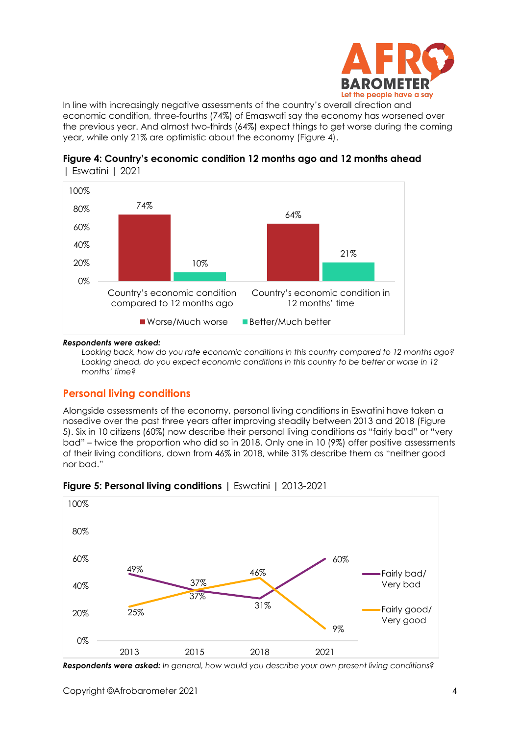

In line with increasingly negative assessments of the country's overall direction and economic condition, three-fourths (74%) of Emaswati say the economy has worsened over the previous year. And almost two-thirds (64%) expect things to get worse during the coming year, while only 21% are optimistic about the economy (Figure 4).





#### *Respondents were asked:*

*Looking back, how do you rate economic conditions in this country compared to 12 months ago? Looking ahead, do you expect economic conditions in this country to be better or worse in 12 months' time?* 

## **Personal living conditions**

Alongside assessments of the economy, personal living conditions in Eswatini have taken a nosedive over the past three years after improving steadily between 2013 and 2018 (Figure 5). Six in 10 citizens (60%) now describe their personal living conditions as "fairly bad" or "very bad" – twice the proportion who did so in 2018. Only one in 10 (9%) offer positive assessments of their living conditions, down from 46% in 2018, while 31% describe them as "neither good nor bad."



**Figure 5: Personal living conditions** | Eswatini | 2013-2021

*Respondents were asked: In general, how would you describe your own present living conditions?*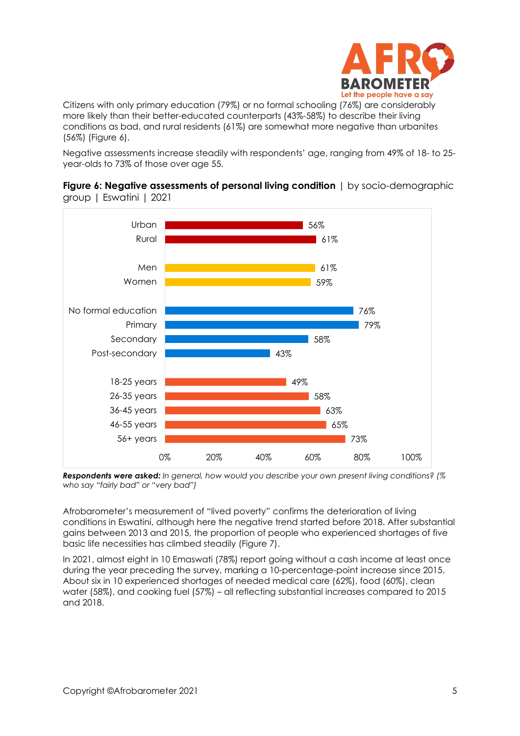

Citizens with only primary education (79%) or no formal schooling (76%) are considerably more likely than their better-educated counterparts (43%-58%) to describe their living conditions as bad, and rural residents (61%) are somewhat more negative than urbanites (56%) (Figure 6).

Negative assessments increase steadily with respondents' age, ranging from 49% of 18- to 25 year-olds to 73% of those over age 55.



**Figure 6: Negative assessments of personal living condition** | by socio-demographic group | Eswatini | 2021

*Respondents were asked: In general, how would you describe your own present living conditions? (% who say "fairly bad" or "very bad")*

Afrobarometer's measurement of "lived poverty" confirms the deterioration of living conditions in Eswatini, although here the negative trend started before 2018. After substantial gains between 2013 and 2015, the proportion of people who experienced shortages of five basic life necessities has climbed steadily (Figure 7).

In 2021, almost eight in 10 Emaswati (78%) report going without a cash income at least once during the year preceding the survey, marking a 10-percentage-point increase since 2015. About six in 10 experienced shortages of needed medical care (62%), food (60%), clean water (58%), and cooking fuel (57%) – all reflecting substantial increases compared to 2015 and 2018.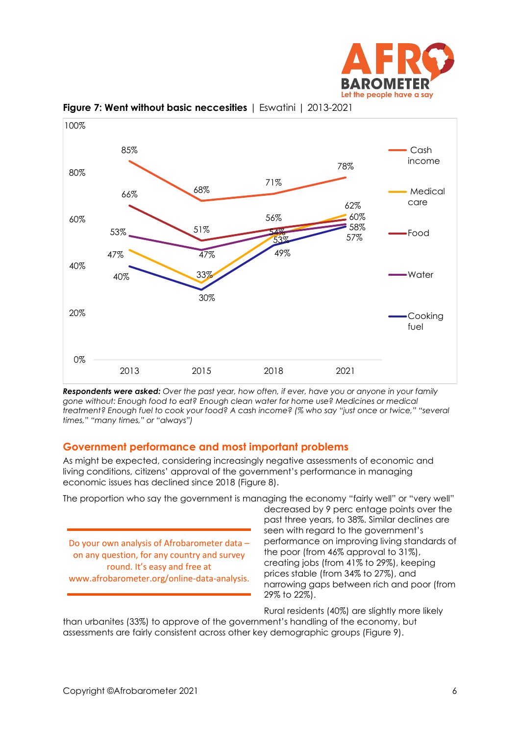



**Figure 7: Went without basic neccesities** | Eswatini | 2013-2021

*Respondents were asked: Over the past year, how often, if ever, have you or anyone in your family gone without: Enough food to eat? Enough clean water for home use? Medicines or medical treatment? Enough fuel to cook your food? A cash income? (% who say "just once or twice," "several times," "many times," or "always")*

## **Government performance and most important problems**

As might be expected, considering increasingly negative assessments of economic and living conditions, citizens' approval of the government's performance in managing economic issues has declined since 2018 (Figure 8).

The proportion who say the government is managing the economy "fairly well" or "very well"

Do your own analysis of Afrobarometer data – on any question, for any country and survey round. It's easy and free at www.afrobarometer.org/online-data-analysis.

decreased by 9 perc entage points over the past three years, to 38%. Similar declines are seen with regard to the government's performance on improving living standards of the poor (from 46% approval to 31%), creating jobs (from 41% to 29%), keeping prices stable (from 34% to 27%), and narrowing gaps between rich and poor (from 29% to 22%).

Rural residents (40%) are slightly more likely

than urbanites (33%) to approve of the government's handling of the economy, but assessments are fairly consistent across other key demographic groups (Figure 9).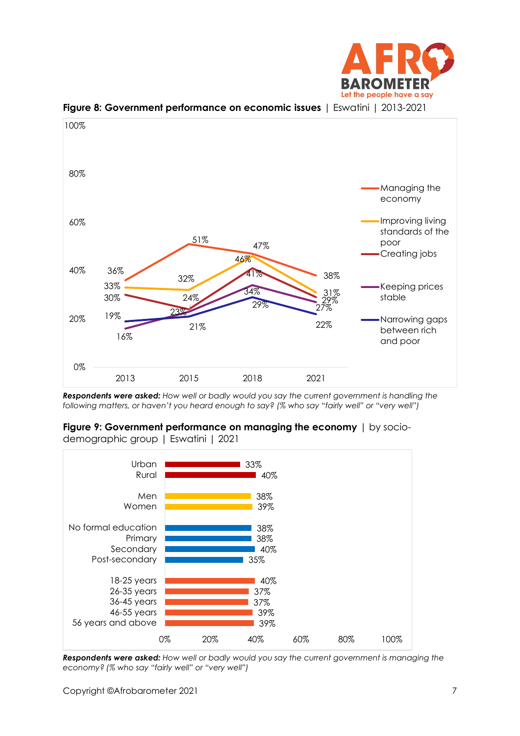



**Figure 8: Government performance on economic issues** | Eswatini | 2013-2021

*Respondents were asked: How well or badly would you say the current government is handling the following matters, or haven't you heard enough to say? (% who say "fairly well" or "very well")* 





*Respondents were asked: How well or badly would you say the current government is managing the economy? (% who say "fairly well" or "very well")*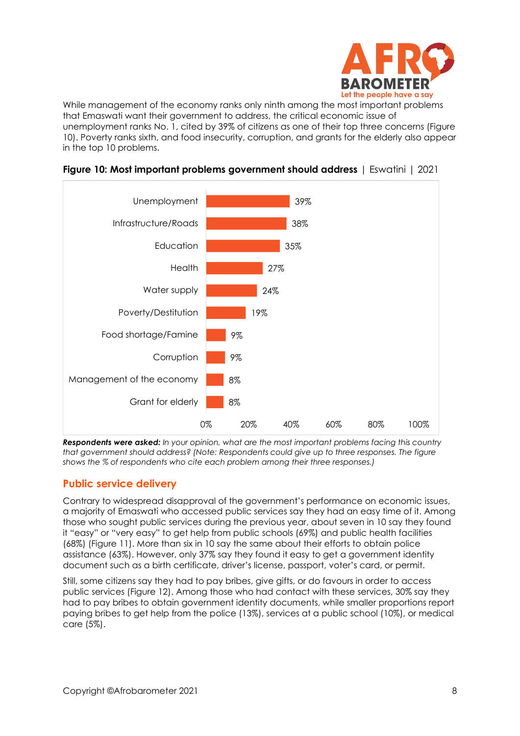

While management of the economy ranks only ninth among the most important problems that Emaswati want their government to address, the critical economic issue of unemployment ranks No. 1, cited by 39% of citizens as one of their top three concerns (Figure 10). Poverty ranks sixth, and food insecurity, corruption, and grants for the elderly also appear in the top 10 problems.



### **Figure 10: Most important problems government should address** | Eswatini | 2021

*Respondents were asked: In your opinion, what are the most important problems facing this country that government should address? (Note: Respondents could give up to three responses. The figure shows the % of respondents who cite each problem among their three responses.)*

## **Public service delivery**

Contrary to widespread disapproval of the government's performance on economic issues, a majority of Emaswati who accessed public services say they had an easy time of it. Among those who sought public services during the previous year, about seven in 10 say they found it "easy" or "very easy" to get help from public schools (69%) and public health facilities (68%) (Figure 11). More than six in 10 say the same about their efforts to obtain police assistance (63%). However, only 37% say they found it easy to get a government identity document such as a birth certificate, driver's license, passport, voter's card, or permit.

Still, some citizens say they had to pay bribes, give gifts, or do favours in order to access public services (Figure 12). Among those who had contact with these services, 30% say they had to pay bribes to obtain government identity documents, while smaller proportions report paying bribes to get help from the police (13%), services at a public school (10%), or medical care (5%).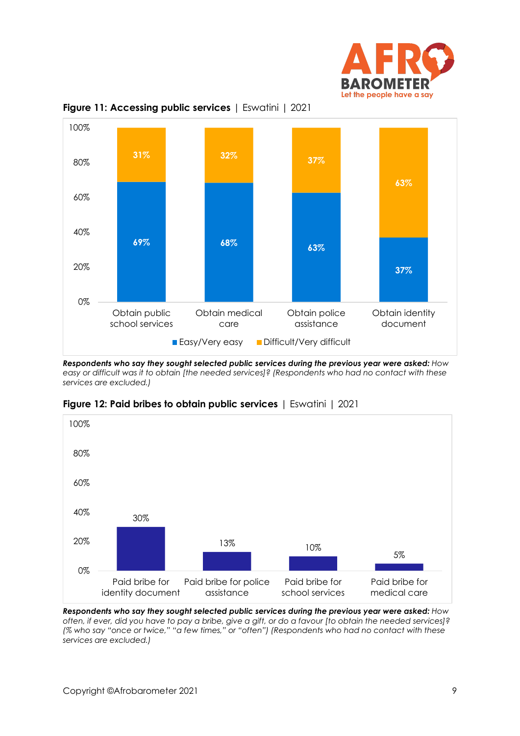



**Figure 11: Accessing public services** | Eswatini | 2021

*Respondents who say they sought selected public services during the previous year were asked: How easy or difficult was it to obtain [the needed services]? (Respondents who had no contact with these services are excluded.)*



**Figure 12: Paid bribes to obtain public services** | Eswatini | 2021

*Respondents who say they sought selected public services during the previous year were asked: How often, if ever, did you have to pay a bribe, give a gift, or do a favour [to obtain the needed services]? (% who say "once or twice," "a few times," or "often") (Respondents who had no contact with these services are excluded.)*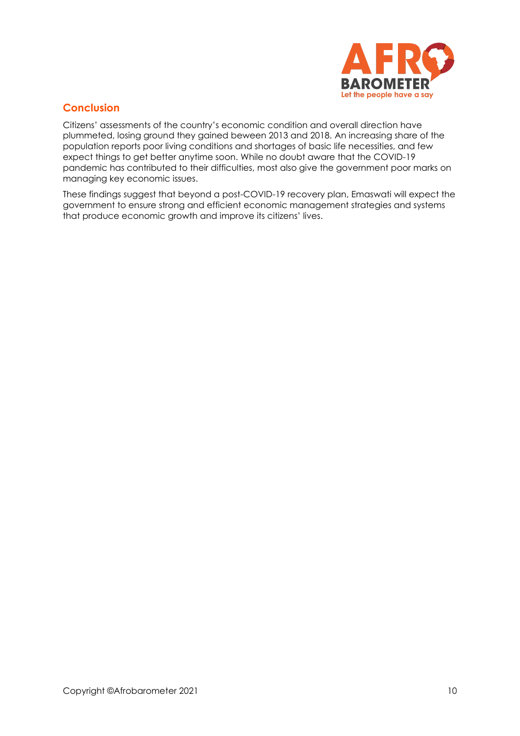

# **Conclusion**

Citizens' assessments of the country's economic condition and overall direction have plummeted, losing ground they gained beween 2013 and 2018. An increasing share of the population reports poor living conditions and shortages of basic life necessities, and few expect things to get better anytime soon. While no doubt aware that the COVID-19 pandemic has contributed to their difficulties, most also give the government poor marks on managing key economic issues.

These findings suggest that beyond a post-COVID-19 recovery plan, Emaswati will expect the government to ensure strong and efficient economic management strategies and systems that produce economic growth and improve its citizens' lives.